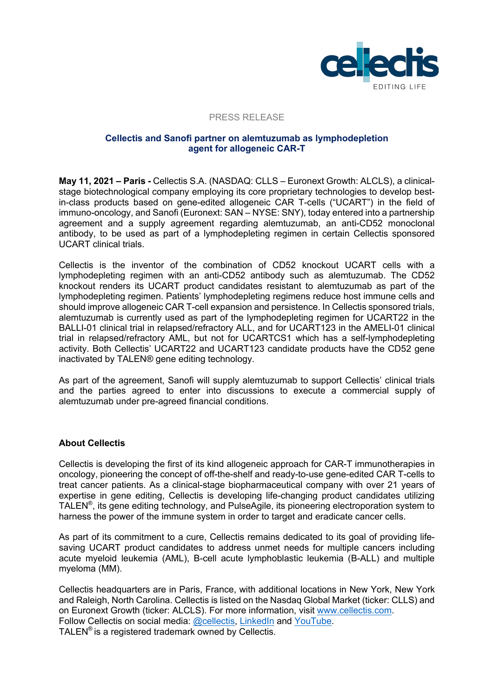

#### PRESS RELEASE

### **Cellectis and Sanofi partner on alemtuzumab as lymphodepletion agent for allogeneic CAR-T**

**May 11, 2021 – Paris -** Cellectis S.A. (NASDAQ: CLLS – Euronext Growth: ALCLS), a clinicalstage biotechnological company employing its core proprietary technologies to develop bestin-class products based on gene-edited allogeneic CAR T-cells ("UCART") in the field of immuno-oncology, and Sanofi (Euronext: SAN – NYSE: SNY), today entered into a partnership agreement and a supply agreement regarding alemtuzumab, an anti-CD52 monoclonal antibody, to be used as part of a lymphodepleting regimen in certain Cellectis sponsored UCART clinical trials.

Cellectis is the inventor of the combination of CD52 knockout UCART cells with a lymphodepleting regimen with an anti-CD52 antibody such as alemtuzumab. The CD52 knockout renders its UCART product candidates resistant to alemtuzumab as part of the lymphodepleting regimen. Patients' lymphodepleting regimens reduce host immune cells and should improve allogeneic CAR T-cell expansion and persistence. In Cellectis sponsored trials, alemtuzumab is currently used as part of the lymphodepleting regimen for UCART22 in the BALLI-01 clinical trial in relapsed/refractory ALL, and for UCART123 in the AMELI-01 clinical trial in relapsed/refractory AML, but not for UCARTCS1 which has a self-lymphodepleting activity. Both Cellectis' UCART22 and UCART123 candidate products have the CD52 gene inactivated by TALEN® gene editing technology.

As part of the agreement, Sanofi will supply alemtuzumab to support Cellectis' clinical trials and the parties agreed to enter into discussions to execute a commercial supply of alemtuzumab under pre-agreed financial conditions.

# **About Cellectis**

Cellectis is developing the first of its kind allogeneic approach for CAR-T immunotherapies in oncology, pioneering the concept of off-the-shelf and ready-to-use gene-edited CAR T-cells to treat cancer patients. As a clinical-stage biopharmaceutical company with over 21 years of expertise in gene editing, Cellectis is developing life-changing product candidates utilizing TALEN®, its gene editing technology, and PulseAgile, its pioneering electroporation system to harness the power of the immune system in order to target and eradicate cancer cells.

As part of its commitment to a cure, Cellectis remains dedicated to its goal of providing lifesaving UCART product candidates to address unmet needs for multiple cancers including acute myeloid leukemia (AML), B-cell acute lymphoblastic leukemia (B-ALL) and multiple myeloma (MM).

Cellectis headquarters are in Paris, France, with additional locations in New York, New York and Raleigh, North Carolina. Cellectis is listed on the Nasdaq Global Market (ticker: CLLS) and on Euronext Growth (ticker: ALCLS). For more information, visit www.cellectis.com. Follow Cellectis on social media: @cellectis, LinkedIn and YouTube. TALEN® is a registered trademark owned by Cellectis.